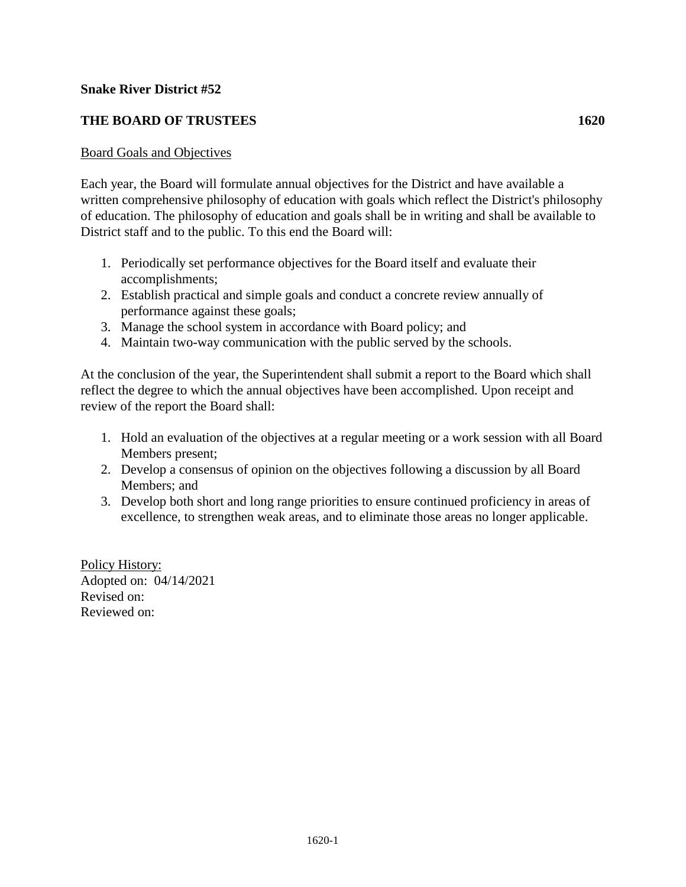# **Snake River District #52**

# **THE BOARD OF TRUSTEES 1620**

### Board Goals and Objectives

Each year, the Board will formulate annual objectives for the District and have available a written comprehensive philosophy of education with goals which reflect the District's philosophy of education. The philosophy of education and goals shall be in writing and shall be available to District staff and to the public. To this end the Board will:

- 1. Periodically set performance objectives for the Board itself and evaluate their accomplishments;
- 2. Establish practical and simple goals and conduct a concrete review annually of performance against these goals;
- 3. Manage the school system in accordance with Board policy; and
- 4. Maintain two-way communication with the public served by the schools.

At the conclusion of the year, the Superintendent shall submit a report to the Board which shall reflect the degree to which the annual objectives have been accomplished. Upon receipt and review of the report the Board shall:

- 1. Hold an evaluation of the objectives at a regular meeting or a work session with all Board Members present;
- 2. Develop a consensus of opinion on the objectives following a discussion by all Board Members; and
- 3. Develop both short and long range priorities to ensure continued proficiency in areas of excellence, to strengthen weak areas, and to eliminate those areas no longer applicable.

Policy History: Adopted on: 04/14/2021 Revised on: Reviewed on: